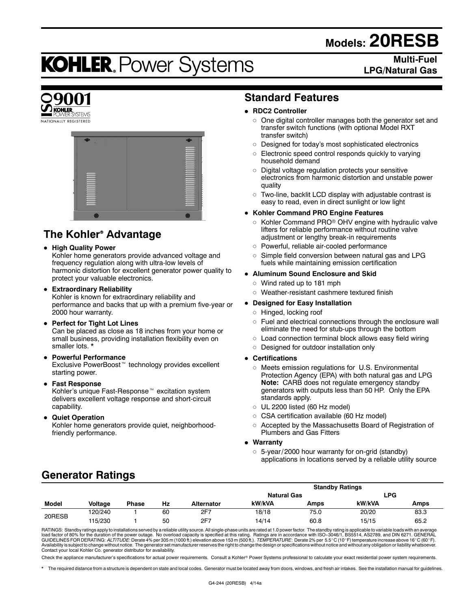# **Models: 20RESB**

# **KOHLER. Power Systems**

## **Multi-Fuel LPG/Natural Gas**





# **The Kohler<sup>®</sup> Advantage**

## **• High Quality Power**

Kohler home generators provide advanced voltage and frequency regulation along with ultra-low levels of harmonic distortion for excellent generator power quality to protect your valuable electronics.

- **Extraordinary Reliability** Kohler is known for extraordinary reliability and performance and backs that up with a premium five-year or 2000 hour warranty.
- **Perfect for Tight Lot Lines** Can be placed as close as 18 inches from your home or small business, providing installation flexibility even on smaller lots. \*

#### **• Powerful Performance**

Exclusive PowerBoost<sup>™</sup> technology provides excellent starting power.

**• Fast Response** 

Kohler's unique Fast-Response<sup> $M$ </sup> excitation system delivers excellent voltage response and short-circuit capability.

**• Quiet Operation** Kohler home generators provide quiet, neighborhoodfriendly performance.

## **Standard Features**

#### **• RDC2 Controller**

- $\circ$  One digital controller manages both the generator set and transfer switch functions (with optional Model RXT transfer switch)
- o Designed for today's most sophisticated electronics
- $\circ$  Electronic speed control responds quickly to varying household demand
- $\circ$  Digital voltage regulation protects your sensitive electronics from harmonic distortion and unstable power quality
- $\circ$  Two-line, backlit LCD display with adjustable contrast is easy to read, even in direct sunlight or low light

#### **• Kohler Command PRO Engine Features**

- o Kohler Command PRO® OHV engine with hydraulic valve lifters for reliable performance without routine valve adjustment or lengthy break-in requirements
- o Powerful, reliable air-cooled performance
- $\circ$  Simple field conversion between natural gas and LPG fuels while maintaining emission certification

#### **• Aluminum Sound Enclosure and Skid**

- $\circ$  Wind rated up to 181 mph
- o Weather-resistant cashmere textured finish

#### **• Designed for Easy Installation**

- o Hinged, locking roof
- $\circ$  Fuel and electrical connections through the enclosure wall eliminate the need for stub-ups through the bottom
- $\circ$  Load connection terminal block allows easy field wiring
- o Designed for outdoor installation only

#### **• Certifications**

- $\circ$  Meets emission regulations for U.S. Environmental Protection Agency (EPA) with both natural gas and LPG **Note:** CARB does not regulate emergency standby generators with outputs less than 50 HP. Only the EPA standards apply.
- $\circ$  UL 2200 listed (60 Hz model)
- o CSA certification available (60 Hz model)
- o Accepted by the Massachusetts Board of Registration of Plumbers and Gas Fitters

#### $\bullet$  Warranty

 $\circ$  5-year/ 2000 hour warranty for on-grid (standby) applications in locations served by a reliable utility source

## **Generator Ratings**

|        |                |              |    |            |                    |      | <b>Standby Ratings</b> |      |  |
|--------|----------------|--------------|----|------------|--------------------|------|------------------------|------|--|
|        |                |              |    |            | <b>Natural Gas</b> |      | LPG.                   |      |  |
| Model  | <b>Voltage</b> | <b>Phase</b> | Hz | Alternator | kW/kVA             | Amps | kW/kVA                 | Amps |  |
| 20RESB | 120/240        |              | 60 | 2F7        | 18/18              | 75.0 | 20/20                  | 83.3 |  |
|        | 115/230        |              | 50 | 2F7        | 14/14              | 60.8 | 15/15                  | 65.2 |  |

RATINGS: Standby ratings apply to installations served by a reliable utility source. All single-phase units are rated at 1.0 power factor. The standby rating is applicable to variable loads with an average load factor of 80% for the duration of the power outage. No overload capacity is specified at this rating. Ratings are in accordance with ISO-3046/1, BS5514, AS2789, and DIN 6271. GENERAL<br>GUIDELINES FOR DERATING: *ALTITUDE* Availability is subject to change without notice. The generator set manufacturer reserves the right to change the design or specifications without notice and without any obligation or liability whatsoever.<br>Contact your loc

Check the appliance manufacturer's specifications for actual power requirements. Consult a Kohler® Power Systems professional to calculate your exact residential power system requirements.

The required distance from a structure is dependent on state and local codes. Generator must be located away from doors, windows, and fresh air intakes. See the installation manual for guidelines.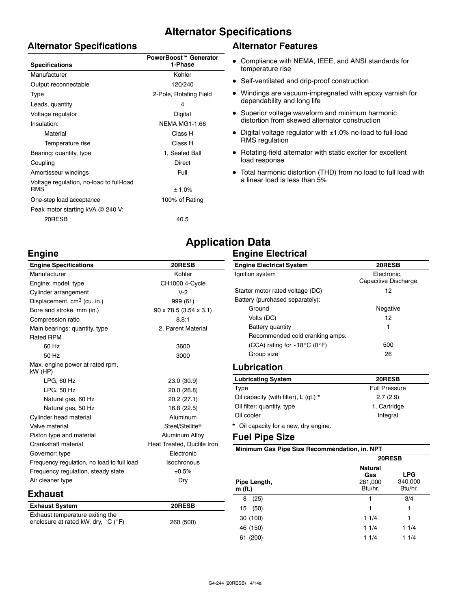## **Alternator Specifications**

## **Alternator Specifications**

| <b>Specifications</b>                                  | PowerBoost™ Generator<br>1-Phase |
|--------------------------------------------------------|----------------------------------|
| Manufacturer                                           | Kohler                           |
| Output reconnectable                                   | 120/240                          |
| Type                                                   | 2-Pole, Rotating Field           |
| Leads, quantity                                        | 4                                |
| Voltage regulator                                      | Digital                          |
| Insulation:                                            | <b>NEMA MG1-1.66</b>             |
| Material                                               | Class H                          |
| Temperature rise                                       | Class H                          |
| Bearing: quantity, type                                | 1, Sealed Ball                   |
| Coupling                                               | Direct                           |
| Amortisseur windings                                   | Full                             |
| Voltage regulation, no-load to full-load<br><b>RMS</b> | ± 1.0%                           |
| One-step load acceptance                               | 100% of Rating                   |
| Peak motor starting kVA @ 240 V:                       |                                  |
| 20RESB                                                 | 40.5                             |

## **Alternator Features**

- Compliance with NEMA, IEEE, and ANSI standards for temperature rise
- Self-ventilated and drip-proof construction
- Windings are vacuum-impregnated with epoxy varnish for dependability and long life
- Superior voltage waveform and minimum harmonic distortion from skewed alternator construction
- $\bullet$  Digital voltage regulator with  $\pm 1.0\%$  no-load to full-load RMS regulation
- Rotating-field alternator with static exciter for excellent load response
- $\bullet$  Total harmonic distortion (THD) from no load to full load with a linear load is less than 5%

# **Engine**

| <b>Engine Specifications</b>               | 20RESB                               |
|--------------------------------------------|--------------------------------------|
| Manufacturer                               | Kohler                               |
| Engine: model, type                        | CH1000 4-Cycle                       |
| Cylinder arrangement                       | $V-2$                                |
| Displacement, cm <sup>3</sup> (cu. in.)    | 999 (61)                             |
| Bore and stroke, mm (in.)                  | $90 \times 78.5$ (3.54 $\times$ 3.1) |
| Compression ratio                          | 8.8:1                                |
| Main bearings: quantity, type              | 2, Parent Material                   |
| <b>Rated RPM</b>                           |                                      |
| 60 Hz                                      | 3600                                 |
| 50 Hz                                      | 3000                                 |
| Max. engine power at rated rpm,<br>kW (HP) |                                      |
| LPG, 60 Hz                                 | 23.0 (30.9)                          |
| LPG, 50 Hz                                 | 20.0 (26.8)                          |
| Natural gas, 60 Hz                         | 20.2 (27.1)                          |
| Natural gas, 50 Hz                         | 16.8 (22.5)                          |
| Cylinder head material                     | Aluminum                             |
| Valve material                             | Steel/Stellite®                      |
| Piston type and material                   | Aluminum Alloy                       |
| Crankshaft material                        | Heat Treated, Ductile Iron           |
| Governor: type                             | Electronic                           |
| Frequency regulation, no load to full load | Isochronous                          |
| Frequency regulation, steady state         | ±0.5%                                |
| Air cleaner type                           | Dry                                  |
| Exhaust                                    |                                      |
| <b>Exhaust System</b>                      | 20RESB                               |
| Exhaust temperature exiting the            |                                      |

enclosure at rated kW, dry,  $^{\circ}$ C ( $^{\circ}$ F) 260 (500)

| <b>Application Data</b> |                          |
|-------------------------|--------------------------|
|                         | <b>Engine Electrical</b> |

| <b>Engine Electrical System</b>        | 20RESB                              |  |  |
|----------------------------------------|-------------------------------------|--|--|
| Ignition system                        | Electronic.<br>Capacitive Discharge |  |  |
| Starter motor rated voltage (DC)       | 12                                  |  |  |
| Battery (purchased separately):        |                                     |  |  |
| Ground                                 | Negative                            |  |  |
| Volts (DC)                             | 12                                  |  |  |
| Battery quantity                       | 1                                   |  |  |
| Recommended cold cranking amps:        |                                     |  |  |
| (CCA) rating for $-18^{\circ}$ C (0°F) | 500                                 |  |  |
| Group size                             | 26                                  |  |  |
|                                        |                                     |  |  |

## **Lubrication**

| <b>Lubricating System</b>                 | 20RESB               |
|-------------------------------------------|----------------------|
| Type                                      | <b>Full Pressure</b> |
| Oil capacity (with filter), $L$ (qt.) $*$ | 2.7(2.9)             |
| Oil filter: quantity, type                | 1. Cartridge         |
| Oil cooler                                | Integral             |
| Oil capacity for a new, dry engine.       |                      |

## **Fuel Pipe Size**

**Minimum Gas Pipe Size Recommendation, in. NPT**

|                         | 20RESB                                      |                                  |  |  |
|-------------------------|---------------------------------------------|----------------------------------|--|--|
| Pipe Length,<br>m (ft.) | <b>Natural</b><br>Gas<br>281,000<br>Btu/hr. | <b>LPG</b><br>340,000<br>Btu/hr. |  |  |
| (25)<br>8               | 1                                           | 3/4                              |  |  |
| (50)<br>15              | 1                                           | 1                                |  |  |
| 30 (100)                | 11/4                                        | 1                                |  |  |
| 46 (150)                | 11/4                                        | 11/4                             |  |  |
| (200)<br>61             | 11/4                                        | 11/4                             |  |  |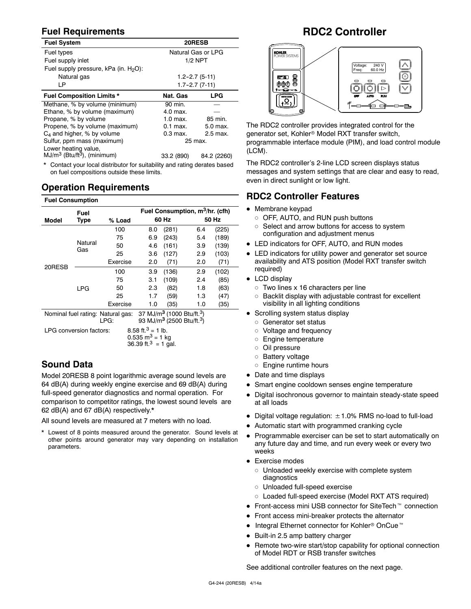## **Fuel Requirements**

| <b>Fuel System</b>                                                        | 20RESB              |                     |  |  |
|---------------------------------------------------------------------------|---------------------|---------------------|--|--|
| Fuel types                                                                | Natural Gas or LPG  |                     |  |  |
| Fuel supply inlet                                                         |                     | $1/2$ NPT           |  |  |
| Fuel supply pressure, kPa (in. $H_2O$ ):                                  |                     |                     |  |  |
| Natural gas                                                               | $1.2 - 2.7(5 - 11)$ |                     |  |  |
| LP                                                                        |                     | $1.7 - 2.7(7 - 11)$ |  |  |
| <b>Fuel Composition Limits *</b>                                          | Nat. Gas            | <b>LPG</b>          |  |  |
| Methane, % by volume (minimum)                                            | 90 min.             |                     |  |  |
| Ethane, % by volume (maximum)                                             | 4.0 max.            |                     |  |  |
| Propane, % by volume                                                      | $1.0$ max.          | 85 min.             |  |  |
| Propene, % by volume (maximum)                                            | $0.1$ max.          | 5.0 max.            |  |  |
| $C_4$ and higher, % by volume                                             | 0.3 max.            | 2.5 max.            |  |  |
| Sulfur, ppm mass (maximum)                                                | 25 max.             |                     |  |  |
| Lower heating value,                                                      |                     |                     |  |  |
| $MJ/m3$ (Btu/ft <sup>3</sup> ), (minimum)                                 | 33.2 (890)          | 84.2 (2260)         |  |  |
| * Contact usus local distributos for quitability and sotion desaton boood |                     |                     |  |  |

Contact your local distributor for suitability and rating derates based on fuel compositions outside these limits.

## **Operation Requirements**

#### **Fuel Consumption**

|                                           | Fuel                                                     |          | Fuel Consumption, m <sup>3</sup> /hr. (cfh)                                                            |       |       |       |  |
|-------------------------------------------|----------------------------------------------------------|----------|--------------------------------------------------------------------------------------------------------|-------|-------|-------|--|
| Model                                     | Type                                                     | % Load   | 60 Hz                                                                                                  |       | 50 Hz |       |  |
|                                           |                                                          | 100      | 8.0                                                                                                    | (281) | 6.4   | (225) |  |
|                                           |                                                          | 75       | 6.9                                                                                                    | (243) | 5.4   | (189) |  |
|                                           | Natural<br>Gas                                           | 50       | 4.6                                                                                                    | (161) | 3.9   | (139) |  |
|                                           |                                                          | 25       | 3.6                                                                                                    | (127) | 2.9   | (103) |  |
|                                           |                                                          | Exercise | 2.0                                                                                                    | (71)  | 2.0   | (71)  |  |
| 20RESB                                    |                                                          | 100      | 3.9                                                                                                    | (136) | 2.9   | (102) |  |
|                                           |                                                          | 75       | 3.1                                                                                                    | (109) | 2.4   | (85)  |  |
|                                           | <b>LPG</b>                                               | 50       | 2.3                                                                                                    | (82)  | 1.8   | (63)  |  |
|                                           |                                                          | 25       | 1.7                                                                                                    | (59)  | 1.3   | (47)  |  |
|                                           |                                                          | Exercise | 1.0                                                                                                    | (35)  | 1.0   | (35)  |  |
| Nominal fuel rating: Natural gas:<br>LPG: |                                                          |          | 37 MJ/m <sup>3</sup> (1000 Btu/ft. <sup>3</sup> )<br>93 MJ/m <sup>3</sup> (2500 Btu/ft. <sup>3</sup> ) |       |       |       |  |
|                                           | 8.58 ft. <sup>3</sup> = 1 lb.<br>LPG conversion factors: |          |                                                                                                        |       |       |       |  |

**Sound Data**

Model 20RESB 8 point logarithmic average sound levels are 64 dB(A) during weekly engine exercise and 69 dB(A) during full-speed generator diagnostics and normal operation. For comparison to competitor ratings, the lowest sound levels are 62 dB(A) and 67 dB(A) respectively.\*

 $0.535$  m<sup>3</sup> = 1 kg  $36.39 \text{ ft.}^3 = 1 \text{ gal.}$ 

All sound levels are measured at 7 meters with no load.

\* Lowest of 8 points measured around the generator. Sound levels at other points around generator may vary depending on installation parameters.

## **RDC2 Controller**



The RDC2 controller provides integrated control for the generator set, Kohler<sup>®</sup> Model RXT transfer switch, programmable interface module (PIM), and load control module (LCM).

The RDC2 controller's 2-line LCD screen displays status messages and system settings that are clear and easy to read, even in direct sunlight or low light.

## **RDC2 Controller Features**

- $\bullet$  Membrane keypad
	- o OFF, AUTO, and RUN push buttons
	- o Select and arrow buttons for access to system configuration and adjustment menus
- LED indicators for OFF, AUTO, and RUN modes
- LED indicators for utility power and generator set source availability and ATS position (Model RXT transfer switch required)
- $\bullet$  LCD display
	- $\circ$  Two lines x 16 characters per line
	- o Backlit display with adjustable contrast for excellent visibility in all lighting conditions
- Scrolling system status display
	- o Generator set status
	- o Voltage and frequency
	- o Engine temperature
	- o Oil pressure
	- o Battery voltage
	- o Engine runtime hours
- Date and time displays
- Smart engine cooldown senses engine temperature
- Digital isochronous governor to maintain steady-state speed at all loads
- Digital voltage regulation:  $\pm$  1.0% RMS no-load to full-load
- Automatic start with programmed cranking cycle
- Programmable exerciser can be set to start automatically on any future day and time, and run every week or every two weeks
- Exercise modes
	- o Unloaded weekly exercise with complete system diagnostics
	- o Unloaded full-speed exercise
	- o Loaded full-speed exercise (Model RXT ATS required)
- $\bullet$  Front-access mini USB connector for SiteTech<sup> $m$ </sup> connection
- Front access mini-breaker protects the alternator
- $\bullet$  Integral Ethernet connector for Kohler<sup>®</sup> OnCue<sup>™</sup>
- $\bullet$  Built-in 2.5 amp battery charger
- Remote two-wire start/stop capability for optional connection of Model RDT or RSB transfer switches

See additional controller features on the next page.